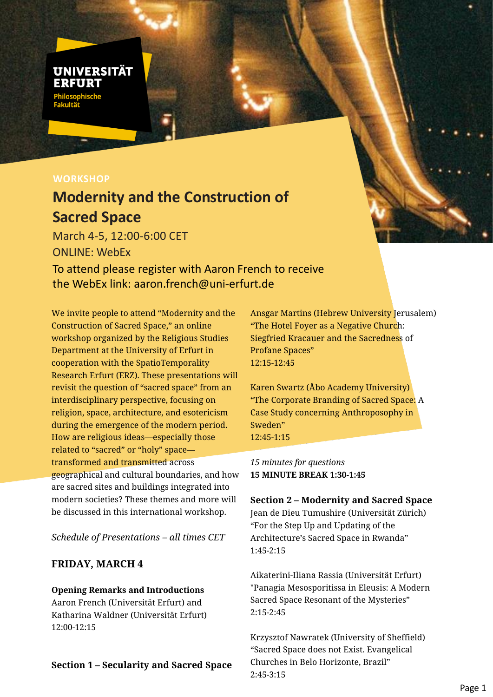## **UNIVERSITÄT** FREUR Philosophisc<mark>he</mark><br>Fakultät

## **WORKSHOP**

# **Modernity and the Construction of Sacred Space**

March 4-5, 12:00-6:00 CET ONLINE: WebEx

To attend please register with Aaron French to receive the WebEx link: aaron.french@uni-erfurt.de

We invite people to attend "Modernity and the Construction of Sacred Space," an online workshop organized by the Religious Studies Department at the University of Erfurt in cooperation with the SpatioTemporality Research Erfurt (ERZ). These presentations will revisit the question of "sacred space" from an interdisciplinary perspective, focusing on religion, space, architecture, and esotericism during the emergence of the modern period. How are religious ideas—especially those related to "sacred" or "holy" space transformed and transmitted across geographical and cultural boundaries, and how are sacred sites and buildings integrated into modern societies? These themes and more will be discussed in this international workshop.

*Schedule of Presentations – all times CET*

#### **FRIDAY, MARCH 4**

#### **Opening Remarks and Introductions**

Aaron French (Universität Erfurt) and Katharina Waldner (Universität Erfurt) 12:00-12:15

#### **Section 1 – Secularity and Sacred Space**

Ansgar Martins (Hebrew University Jerusalem) "The Hotel Foyer as a Negative Church: Siegfried Kracauer and the Sacredness of Profane Spaces" 12:15-12:45

Karen Swartz (Åbo Academy University) "The Corporate Branding of Sacred Space: A Case Study concerning Anthroposophy in Sweden" 12:45-1:15

*15 minutes for questions* **15 MINUTE BREAK 1:30-1:45**

#### **Section 2 – Modernity and Sacred Space**

Jean de Dieu Tumushire (Universität Zürich) "For the Step Up and Updating of the Architecture's Sacred Space in Rwanda" 1:45-2:15

Aikaterini-Iliana Rassia (Universität Erfurt) "Panagia Mesosporitissa in Eleusis: A Modern Sacred Space Resonant of the Mysteries" 2:15-2:45

Krzysztof Nawratek (University of Sheffield) "Sacred Space does not Exist. Evangelical Churches in Belo Horizonte, Brazil" 2:45-3:15